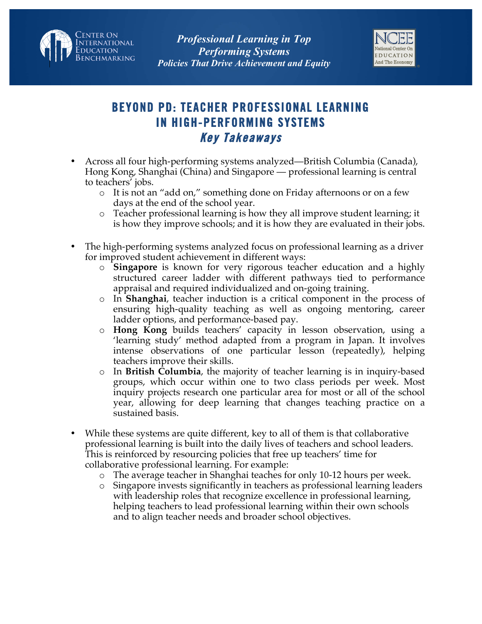



## **BEYOND PD: TEACHER PROFESSIONAL LEARNING IN HIGH-PERFORMING SYSTEMS Key Takeaways**

- Across all four high-performing systems analyzed—British Columbia (Canada), Hong Kong, Shanghai (China) and Singapore — professional learning is central to teachers' jobs.
	- o It is not an "add on," something done on Friday afternoons or on a few days at the end of the school year.
	- o Teacher professional learning is how they all improve student learning; it is how they improve schools; and it is how they are evaluated in their jobs.
- The high-performing systems analyzed focus on professional learning as a driver for improved student achievement in different ways:
	- o **Singapore** is known for very rigorous teacher education and a highly structured career ladder with different pathways tied to performance appraisal and required individualized and on-going training.
	- o In **Shanghai**, teacher induction is a critical component in the process of ensuring high-quality teaching as well as ongoing mentoring, career ladder options, and performance-based pay.
	- o **Hong Kong** builds teachers' capacity in lesson observation, using a 'learning study' method adapted from a program in Japan. It involves intense observations of one particular lesson (repeatedly), helping teachers improve their skills.
	- o In **British Columbia**, the majority of teacher learning is in inquiry-based groups, which occur within one to two class periods per week. Most inquiry projects research one particular area for most or all of the school year, allowing for deep learning that changes teaching practice on a sustained basis.
- While these systems are quite different, key to all of them is that collaborative professional learning is built into the daily lives of teachers and school leaders. This is reinforced by resourcing policies that free up teachers' time for collaborative professional learning. For example:
	- o The average teacher in Shanghai teaches for only 10-12 hours per week.
	- o Singapore invests significantly in teachers as professional learning leaders with leadership roles that recognize excellence in professional learning, helping teachers to lead professional learning within their own schools and to align teacher needs and broader school objectives.